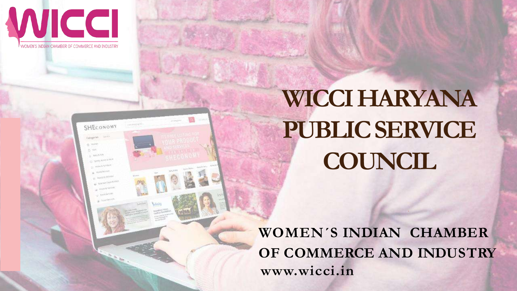

WOMEN'S INDIAN CHAMBER OF COMMERCE AND INDUSTRY

### SHECONOMY **TANKSYON** ec un **U. BANGARA August 1979**

## **WICCI HARYANA PUBLIC SERVICE COUNCIL**

**WOMEN´S INDIAN CHAMBER OF COMMERCE AND INDUSTRY** www.wicci.in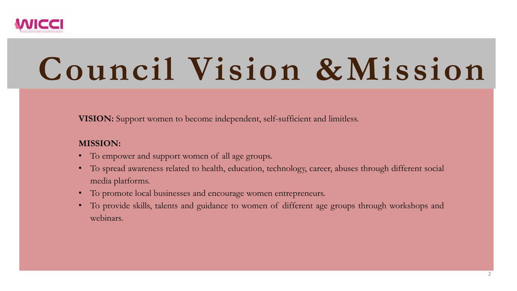**VISION:** Support women to become independent, self-sufficient and limitless.

### **MISSION:**

- To empower and support women of all age groups.
- To spread awareness related to health, education, technology, career, abuses through different social media platforms.
- To promote local businesses and encourage women entrepreneurs.
- To provide skills, talents and guidance to women of different age groups through workshops and webinars.



# **Council Vision &Mission**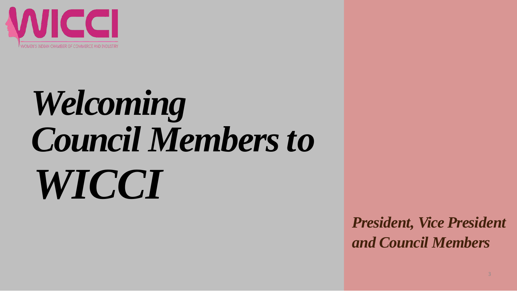

# *Welcoming Council Membersto WICCI*



### *President, Vice President and Council Members*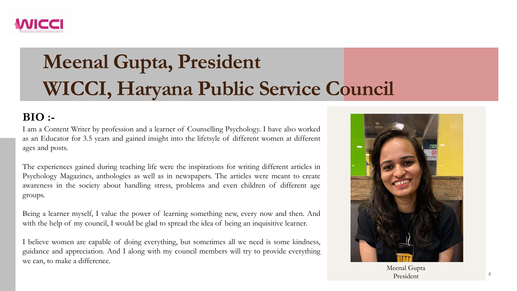

### **Meenal Gupta, President WICCI, Haryana Public Service Council**

### **BIO :-**

I am a Content Writer by profession and a learner of Counselling Psychology. I have also worked as an Educator for 3.5 years and gained insight into the lifetsyle of different women at different ages and posts.

The experiences gained during teaching life were the inspirations for writing different articles in Psychology Magazines, anthologies as well as in newspapers. The articles were meant to create awareness in the society about handling stress, problems and even children of different age groups.

Being a learner myself, I value the power of learning something new, every now and then. And with the help of my council, I would be glad to spread the idea of being an inquisitive learner.

I believe women are capable of doing everything, but sometimes all we need is some kindness, guidance and appreciation. And I along with my council members will try to provide everything we can, to make a difference.



Meenal Gupta President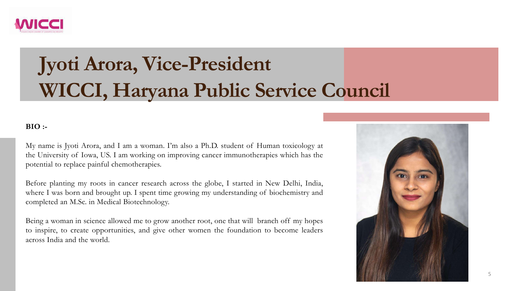

### **Jyoti Arora, Vice-President WICCI, Haryana Public Service Council**

#### **BIO :-**

My name is Jyoti Arora, and I am a woman. I'm also a Ph.D. student of Human toxicology at the University of Iowa, US. I am working on improving cancer immunotherapies which has the potential to replace painful chemotherapies.

Before planting my roots in cancer research across the globe, I started in New Delhi, India, where I was born and brought up. I spent time growing my understanding of biochemistry and completed an M.Sc. in Medical Biotechnology.

Being a woman in science allowed me to grow another root, one that will branch off my hopes to inspire, to create opportunities, and give other women the foundation to become leaders across India and the world.

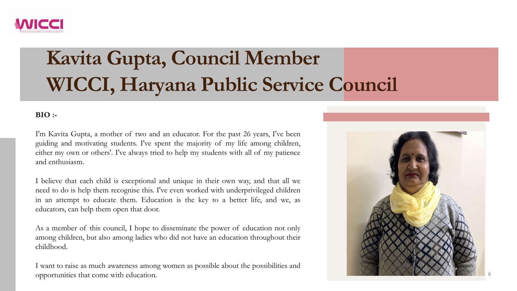

### **Kavita Gupta, Council Member WICCI, Haryana Public Service Council**

#### **BIO :-**

I'm Kavita Gupta, a mother of two and an educator. For the past 26 years, I've been guiding and motivating students. I've spent the majority of my life among children, either my own or others'. I've always tried to help my students with all of my patience and enthusiasm.

I believe that each child is exceptional and unique in their own way, and that all we need to do is help them recognise this. I've even worked with underprivileged children in an attempt to educate them. Education is the key to a better life, and we, as educators, can help them open that door.

As a member of this council, I hope to disseminate the power of education not only among children, but also among ladies who did not have an education throughout their childhood.

I want to raise as much awareness among women as possible about the possibilities and opportunities that come with education. 6

- 
- 
- 
- 
- 

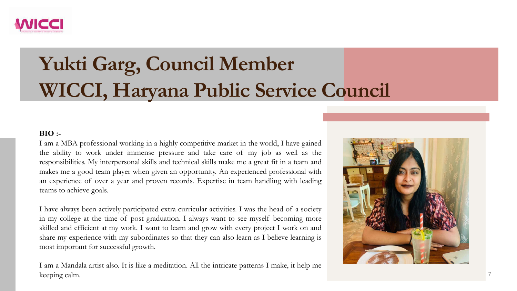

### **Yukti Garg, Council Member WICCI, Haryana Public Service Council**

#### **BIO :-**

I am a MBA professional working in a highly competitive market in the world, I have gained the ability to work under immense pressure and take care of my job as well as the responsibilities. My interpersonal skills and technical skills make me a great fit in a team and makes me a good team player when given an opportunity. An experienced professional with an experience of over a year and proven records. Expertise in team handling with leading teams to achieve goals.

I am a Mandala artist also. It is like a meditation. All the intricate patterns I make, it help me keeping calm.



I have always been actively participated extra curricular activities. I was the head of a society in my college at the time of post graduation. I always want to see myself becoming more skilled and efficient at my work. I want to learn and grow with every project I work on and share my experience with my subordinates so that they can also learn as I believe learning is most important for successful growth.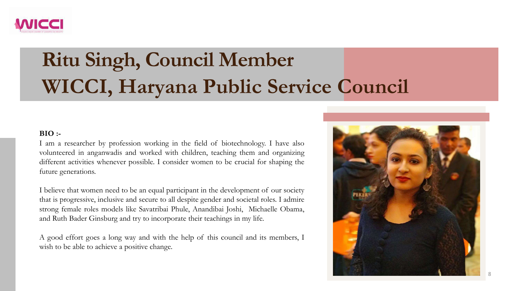

### **Ritu Singh, Council Member WICCI, Haryana Public Service Council**

#### **BIO :-**

I am a researcher by profession working in the field of biotechnology. I have also volunteered in anganwadis and worked with children, teaching them and organizing different activities whenever possible. I consider women to be crucial for shaping the future generations.

A good effort goes a long way and with the help of this council and its members, I wish to be able to achieve a positive change.

I believe that women need to be an equal participant in the development of our society that is progressive, inclusive and secure to all despite gender and societal roles. I admire strong female roles models like Savatribai Phule, Anandibai Joshi, Michaelle Obama, and Ruth Bader Ginsburg and try to incorporate their teachings in my life.

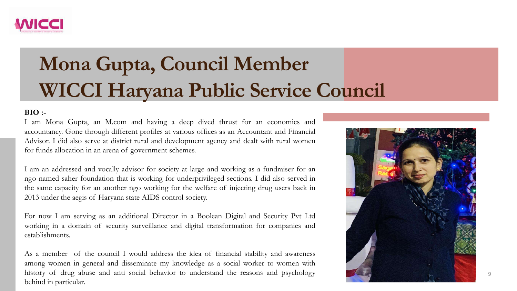

### **Mona Gupta, Council Member WICCI Haryana Public Service Council**

#### **BIO :-**

I am Mona Gupta, an M.com and having a deep dived thrust for an economics and accountancy. Gone through different profiles at various offices as an Accountant and Financial Advisor. I did also serve at district rural and development agency and dealt with rural women for funds allocation in an arena of government schemes.

I am an addressed and vocally advisor for society at large and working as a fundraiser for an ngo named saher foundation that is working for underprivileged sections. I did also served in the same capacity for an another ngo working for the welfare of injecting drug users back in 2013 under the aegis of Haryana state AIDS control society.

For now I am serving as an additional Director in a Boolean Digital and Security Pvt Ltd working in a domain of security surveillance and digital transformation for companies and establishments.

As a member of the council I would address the idea of financial stability and awareness among women in general and disseminate my knowledge as a social worker to women with history of drug abuse and anti social behavior to understand the reasons and psychology behind in particular.

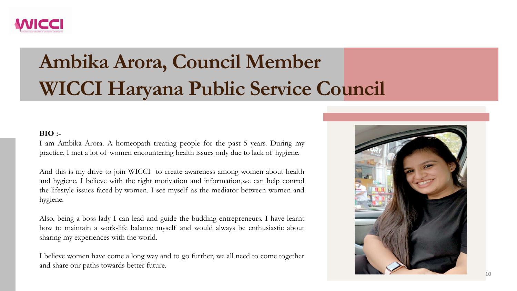

### **Ambika Arora, Council Member WICCI Haryana Public Service Council**

#### **BIO :-**

I am Ambika Arora. A homeopath treating people for the past 5 years. During my practice, I met a lot of women encountering health issues only due to lack of hygiene.

And this is my drive to join WICCI to create awareness among women about health and hygiene. I believe with the right motivation and information,we can help control the lifestyle issues faced by women. I see myself as the mediator between women and hygiene.

Also, being a boss lady I can lead and guide the budding entrepreneurs. I have learnt how to maintain a work-life balance myself and would always be enthusiastic about sharing my experiences with the world.

I believe women have come a long way and to go further, we all need to come together and share our paths towards better future.

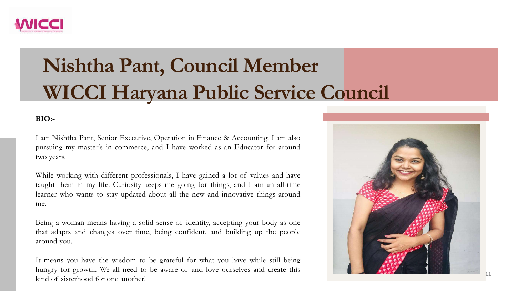

### **Nishtha Pant, Council Member WICCI Haryana Public Service Council**

#### **BIO:-**

I am Nishtha Pant, Senior Executive, Operation in Finance & Accounting. I am also pursuing my master's in commerce, and I have worked as an Educator for around two years.

While working with different professionals, I have gained a lot of values and have taught them in my life. Curiosity keeps me going for things, and I am an all-time learner who wants to stay updated about all the new and innovative things around me.

Being a woman means having a solid sense of identity, accepting your body as one that adapts and changes over time, being confident, and building up the people around you.

It means you have the wisdom to be grateful for what you have while still being hungry for growth. We all need to be aware of and love ourselves and create this kind of sisterhood for one another!

- 
- 
- 
- 
- 

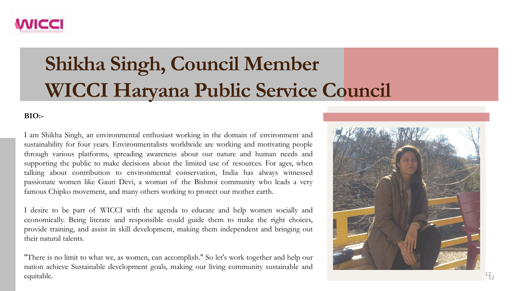

### **Shikha Singh, Council Member WICCI Haryana Public Service Council**



#### **BIO:-**

I am Shikha Singh, an environmental enthusiast working in the domain of environment and sustainability for four years. Environmentalists worldwide are working and motivating people through various platforms, spreading awareness about our nature and human needs and supporting the public to make decisions about the limited use of resources. For ages, when talking about contribution to environmental conservation, India has always witnessed passionate women like Gauri Devi, a woman of the Bishnoi community who leads a very famous Chipko movement, and many others working to protect our mother earth.

I desire to be part of WICCI with the agenda to educate and help women socially and economically. Being literate and responsible could guide them to make the right choices, provide training, and assist in skill development, making them independent and bringing out their natural talents.

"There is no limit to what we, as women, can accomplish." So let's work together and help our nation achieve Sustainable development goals, making our living community sustainable and equitable.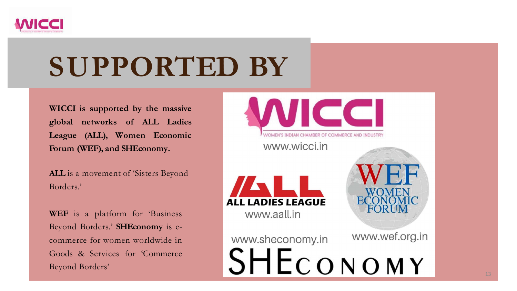**WICCI is supported by the massive global networks of ALL Ladies League (ALL), Women Economic Forum (WEF), and SHEconomy.**

**ALL** is a movement of 'Sisters Beyond Borders.'

**WEF** is a platform for 'Business Beyond Borders.' **SHEconomy** is ecommerce for women worldwide in Goods & Services for 'Commerce Beyond Borders'





www.sheconomy.in





## **SUPPORTED BY**

13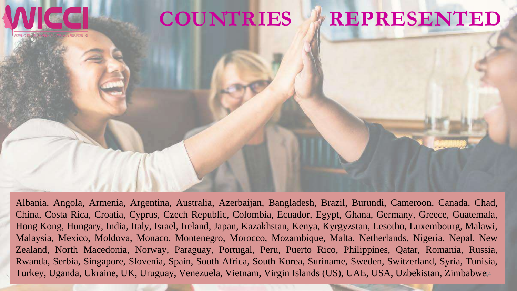

Albania, Angola, Armenia, Argentina, Australia, Azerbaijan, Bangladesh, Brazil, Burundi, Cameroon, Canada, Chad, China, Costa Rica, Croatia, Cyprus, Czech Republic, Colombia, Ecuador, Egypt, Ghana, Germany, Greece, Guatemala, Hong Kong, Hungary, India, Italy, Israel, Ireland, Japan, Kazakhstan, Kenya, Kyrgyzstan, Lesotho, Luxembourg, Malawi, Malaysia, Mexico, Moldova, Monaco, Montenegro, Morocco, Mozambique, Malta, Netherlands, Nigeria, Nepal, New Zealand, North Macedonia, Norway, Paraguay, Portugal, Peru, Puerto Rico, Philippines, Qatar, Romania, Russia, Rwanda, Serbia, Singapore, Slovenia, Spain, South Africa, South Korea, Suriname, Sweden, Switzerland, Syria, Tunisia, Turkey, Uganda, Ukraine, UK, Uruguay, Venezuela, Vietnam, Virgin Islands (US), UAE, USA, Uzbekistan, Zimbabwe14.

### **COUNTRIES & REPRESENTED**